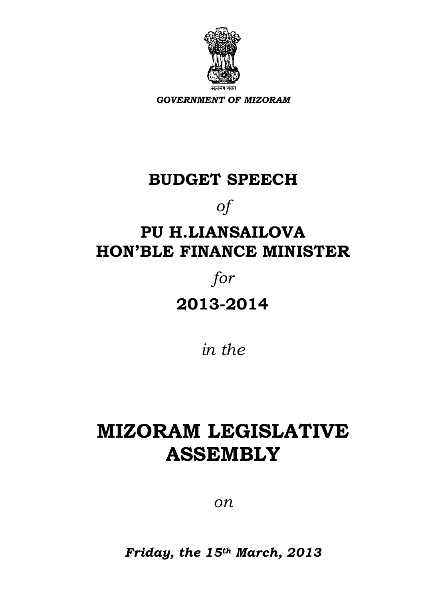

*GOVERNMENT OF MIZORAM*

# **BUDGET SPEECH**

*of*

# **PU H.LIANSAILOVA HON'BLE FINANCE MINISTER**

# *for*

**2013-2014**

*in the*

# **MIZORAM LEGISLATIVE ASSEMBLY**

*on*

*Friday, the 15th March, 2013*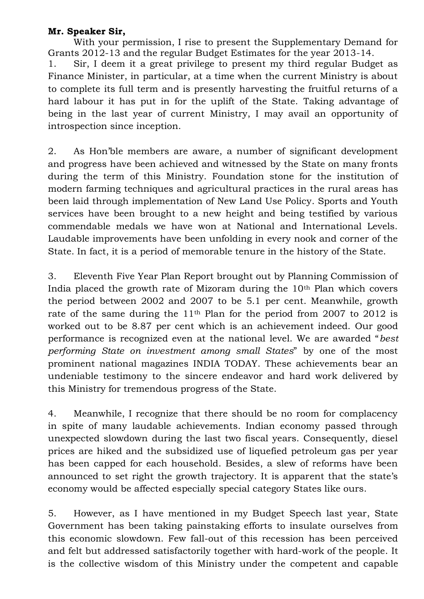#### **Mr. Speaker Sir,**

With your permission, I rise to present the Supplementary Demand for Grants 2012-13 and the regular Budget Estimates for the year 2013-14.

1. Sir, I deem it a great privilege to present my third regular Budget as Finance Minister, in particular, at a time when the current Ministry is about to complete its full term and is presently harvesting the fruitful returns of a hard labour it has put in for the uplift of the State. Taking advantage of being in the last year of current Ministry, I may avail an opportunity of introspection since inception.

2. As Hon"ble members are aware, a number of significant development and progress have been achieved and witnessed by the State on many fronts during the term of this Ministry. Foundation stone for the institution of modern farming techniques and agricultural practices in the rural areas has been laid through implementation of New Land Use Policy. Sports and Youth services have been brought to a new height and being testified by various commendable medals we have won at National and International Levels. Laudable improvements have been unfolding in every nook and corner of the State. In fact, it is a period of memorable tenure in the history of the State.

3. Eleventh Five Year Plan Report brought out by Planning Commission of India placed the growth rate of Mizoram during the  $10<sup>th</sup>$  Plan which covers the period between 2002 and 2007 to be 5.1 per cent. Meanwhile, growth rate of the same during the 11th Plan for the period from 2007 to 2012 is worked out to be 8.87 per cent which is an achievement indeed. Our good performance is recognized even at the national level. We are awarded "*best performing State on investment among small States*" by one of the most prominent national magazines INDIA TODAY. These achievements bear an undeniable testimony to the sincere endeavor and hard work delivered by this Ministry for tremendous progress of the State.

4. Meanwhile, I recognize that there should be no room for complacency in spite of many laudable achievements. Indian economy passed through unexpected slowdown during the last two fiscal years. Consequently, diesel prices are hiked and the subsidized use of liquefied petroleum gas per year has been capped for each household. Besides, a slew of reforms have been announced to set right the growth trajectory. It is apparent that the state's economy would be affected especially special category States like ours.

5. However, as I have mentioned in my Budget Speech last year, State Government has been taking painstaking efforts to insulate ourselves from this economic slowdown. Few fall-out of this recession has been perceived and felt but addressed satisfactorily together with hard-work of the people. It is the collective wisdom of this Ministry under the competent and capable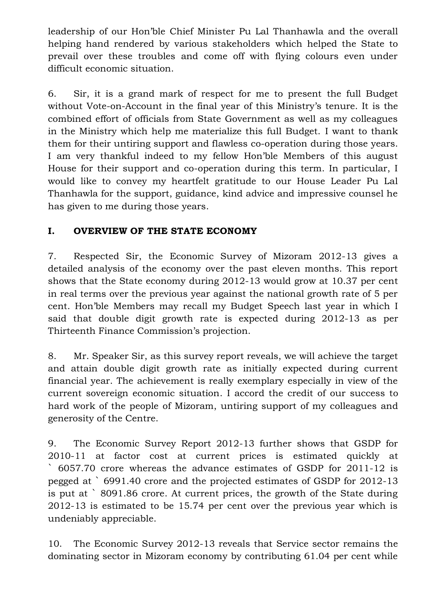leadership of our Hon"ble Chief Minister Pu Lal Thanhawla and the overall helping hand rendered by various stakeholders which helped the State to prevail over these troubles and come off with flying colours even under difficult economic situation.

6. Sir, it is a grand mark of respect for me to present the full Budget without Vote-on-Account in the final year of this Ministry's tenure. It is the combined effort of officials from State Government as well as my colleagues in the Ministry which help me materialize this full Budget. I want to thank them for their untiring support and flawless co-operation during those years. I am very thankful indeed to my fellow Hon"ble Members of this august House for their support and co-operation during this term. In particular, I would like to convey my heartfelt gratitude to our House Leader Pu Lal Thanhawla for the support, guidance, kind advice and impressive counsel he has given to me during those years.

# **I. OVERVIEW OF THE STATE ECONOMY**

7. Respected Sir, the Economic Survey of Mizoram 2012-13 gives a detailed analysis of the economy over the past eleven months. This report shows that the State economy during 2012-13 would grow at 10.37 per cent in real terms over the previous year against the national growth rate of 5 per cent. Hon"ble Members may recall my Budget Speech last year in which I said that double digit growth rate is expected during 2012-13 as per Thirteenth Finance Commission's projection.

8. Mr. Speaker Sir, as this survey report reveals, we will achieve the target and attain double digit growth rate as initially expected during current financial year. The achievement is really exemplary especially in view of the current sovereign economic situation. I accord the credit of our success to hard work of the people of Mizoram, untiring support of my colleagues and generosity of the Centre.

9. The Economic Survey Report 2012-13 further shows that GSDP for 2010-11 at factor cost at current prices is estimated quickly at ` 6057.70 crore whereas the advance estimates of GSDP for 2011-12 is pegged at ` 6991.40 crore and the projected estimates of GSDP for 2012-13 is put at ` 8091.86 crore. At current prices, the growth of the State during 2012-13 is estimated to be 15.74 per cent over the previous year which is undeniably appreciable.

10. The Economic Survey 2012-13 reveals that Service sector remains the dominating sector in Mizoram economy by contributing 61.04 per cent while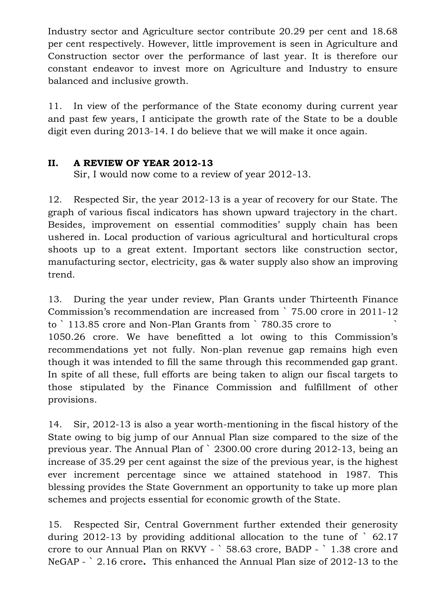Industry sector and Agriculture sector contribute 20.29 per cent and 18.68 per cent respectively. However, little improvement is seen in Agriculture and Construction sector over the performance of last year. It is therefore our constant endeavor to invest more on Agriculture and Industry to ensure balanced and inclusive growth.

11. In view of the performance of the State economy during current year and past few years, I anticipate the growth rate of the State to be a double digit even during 2013-14. I do believe that we will make it once again.

#### **II. A REVIEW OF YEAR 2012-13**

Sir, I would now come to a review of year 2012-13.

12. Respected Sir, the year 2012-13 is a year of recovery for our State. The graph of various fiscal indicators has shown upward trajectory in the chart. Besides, improvement on essential commodities' supply chain has been ushered in. Local production of various agricultural and horticultural crops shoots up to a great extent. Important sectors like construction sector, manufacturing sector, electricity, gas & water supply also show an improving trend.

13. During the year under review, Plan Grants under Thirteenth Finance Commission"s recommendation are increased from ` 75.00 crore in 2011-12 to ` 113.85 crore and Non-Plan Grants from ` 780.35 crore to 1050.26 crore. We have benefitted a lot owing to this Commission"s recommendations yet not fully. Non-plan revenue gap remains high even though it was intended to fill the same through this recommended gap grant. In spite of all these, full efforts are being taken to align our fiscal targets to those stipulated by the Finance Commission and fulfillment of other provisions.

14. Sir, 2012-13 is also a year worth-mentioning in the fiscal history of the State owing to big jump of our Annual Plan size compared to the size of the previous year. The Annual Plan of ` 2300.00 crore during 2012-13, being an increase of 35.29 per cent against the size of the previous year, is the highest ever increment percentage since we attained statehood in 1987. This blessing provides the State Government an opportunity to take up more plan schemes and projects essential for economic growth of the State.

15. Respected Sir, Central Government further extended their generosity during 2012-13 by providing additional allocation to the tune of  $\degree$  62.17 crore to our Annual Plan on RKVY - ` 58.63 crore, BADP - ` 1.38 crore and NeGAP - ` 2.16 crore**.** This enhanced the Annual Plan size of 2012-13 to the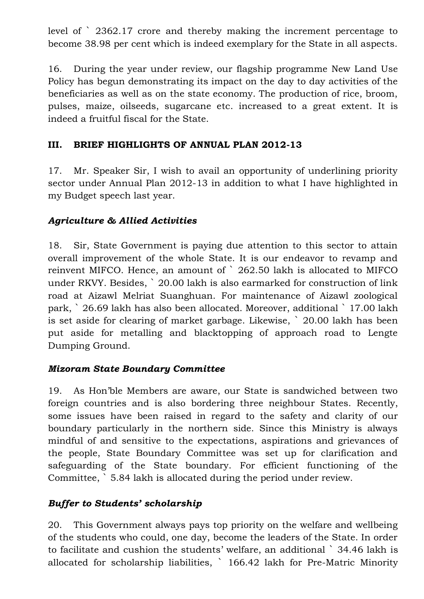level of ` 2362.17 crore and thereby making the increment percentage to become 38.98 per cent which is indeed exemplary for the State in all aspects.

16. During the year under review, our flagship programme New Land Use Policy has begun demonstrating its impact on the day to day activities of the beneficiaries as well as on the state economy. The production of rice, broom, pulses, maize, oilseeds, sugarcane etc. increased to a great extent. It is indeed a fruitful fiscal for the State.

# **III. BRIEF HIGHLIGHTS OF ANNUAL PLAN 2012-13**

17. Mr. Speaker Sir, I wish to avail an opportunity of underlining priority sector under Annual Plan 2012-13 in addition to what I have highlighted in my Budget speech last year.

#### *Agriculture & Allied Activities*

18. Sir, State Government is paying due attention to this sector to attain overall improvement of the whole State. It is our endeavor to revamp and reinvent MIFCO. Hence, an amount of ` 262.50 lakh is allocated to MIFCO under RKVY. Besides, ` 20.00 lakh is also earmarked for construction of link road at Aizawl Melriat Suanghuan. For maintenance of Aizawl zoological park, ` 26.69 lakh has also been allocated. Moreover, additional ` 17.00 lakh is set aside for clearing of market garbage. Likewise, ` 20.00 lakh has been put aside for metalling and blacktopping of approach road to Lengte Dumping Ground.

#### *Mizoram State Boundary Committee*

19. As Hon"ble Members are aware, our State is sandwiched between two foreign countries and is also bordering three neighbour States. Recently, some issues have been raised in regard to the safety and clarity of our boundary particularly in the northern side. Since this Ministry is always mindful of and sensitive to the expectations, aspirations and grievances of the people, State Boundary Committee was set up for clarification and safeguarding of the State boundary. For efficient functioning of the Committee, ` 5.84 lakh is allocated during the period under review.

#### *Buffer to Students' scholarship*

20. This Government always pays top priority on the welfare and wellbeing of the students who could, one day, become the leaders of the State. In order to facilitate and cushion the students' welfare, an additional ` 34.46 lakh is allocated for scholarship liabilities, ` 166.42 lakh for Pre-Matric Minority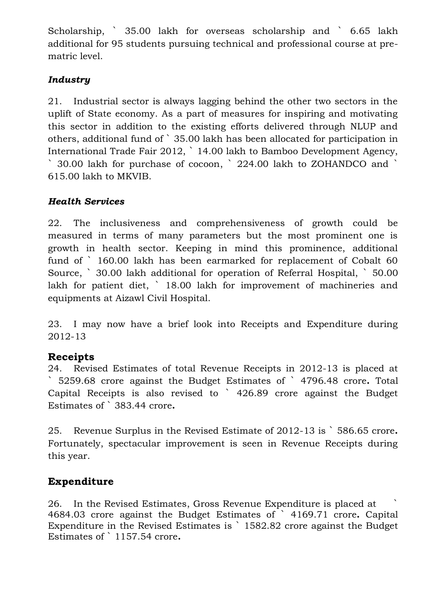Scholarship, ` 35.00 lakh for overseas scholarship and ` 6.65 lakh additional for 95 students pursuing technical and professional course at prematric level.

# *Industry*

21. Industrial sector is always lagging behind the other two sectors in the uplift of State economy. As a part of measures for inspiring and motivating this sector in addition to the existing efforts delivered through NLUP and others, additional fund of ` 35.00 lakh has been allocated for participation in International Trade Fair 2012, ` 14.00 lakh to Bamboo Development Agency, ` 30.00 lakh for purchase of cocoon, ` 224.00 lakh to ZOHANDCO and ` 615.00 lakh to MKVIB.

# *Health Services*

22. The inclusiveness and comprehensiveness of growth could be measured in terms of many parameters but the most prominent one is growth in health sector. Keeping in mind this prominence, additional fund of ` 160.00 lakh has been earmarked for replacement of Cobalt 60 Source, ` 30.00 lakh additional for operation of Referral Hospital, ` 50.00 lakh for patient diet, ` 18.00 lakh for improvement of machineries and equipments at Aizawl Civil Hospital.

23. I may now have a brief look into Receipts and Expenditure during 2012-13

# **Receipts**

24. Revised Estimates of total Revenue Receipts in 2012-13 is placed at ` 5259.68 crore against the Budget Estimates of ` 4796.48 crore**.** Total Capital Receipts is also revised to ` 426.89 crore against the Budget Estimates of ` 383.44 crore**.**

25. Revenue Surplus in the Revised Estimate of 2012-13 is ` 586.65 crore**.**  Fortunately, spectacular improvement is seen in Revenue Receipts during this year.

# **Expenditure**

26. In the Revised Estimates, Gross Revenue Expenditure is placed at ` 4684.03 crore against the Budget Estimates of ` 4169.71 crore**.** Capital Expenditure in the Revised Estimates is ` 1582.82 crore against the Budget Estimates of ` 1157.54 crore**.**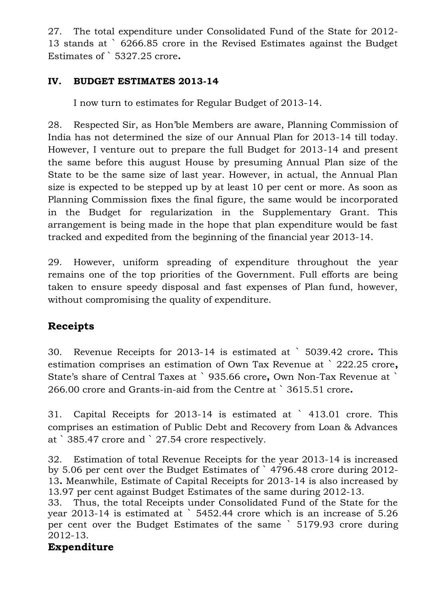27. The total expenditure under Consolidated Fund of the State for 2012- 13 stands at ` 6266.85 crore in the Revised Estimates against the Budget Estimates of ` 5327.25 crore**.**

#### **IV. BUDGET ESTIMATES 2013-14**

I now turn to estimates for Regular Budget of 2013-14.

28. Respected Sir, as Hon"ble Members are aware, Planning Commission of India has not determined the size of our Annual Plan for 2013-14 till today. However, I venture out to prepare the full Budget for 2013-14 and present the same before this august House by presuming Annual Plan size of the State to be the same size of last year. However, in actual, the Annual Plan size is expected to be stepped up by at least 10 per cent or more. As soon as Planning Commission fixes the final figure, the same would be incorporated in the Budget for regularization in the Supplementary Grant. This arrangement is being made in the hope that plan expenditure would be fast tracked and expedited from the beginning of the financial year 2013-14.

29. However, uniform spreading of expenditure throughout the year remains one of the top priorities of the Government. Full efforts are being taken to ensure speedy disposal and fast expenses of Plan fund, however, without compromising the quality of expenditure.

# **Receipts**

30. Revenue Receipts for 2013-14 is estimated at ` 5039.42 crore**.** This estimation comprises an estimation of Own Tax Revenue at ` 222.25 crore**,** State"s share of Central Taxes at ` 935.66 crore**,** Own Non-Tax Revenue at ` 266.00 crore and Grants-in-aid from the Centre at ` 3615.51 crore**.**

31. Capital Receipts for 2013-14 is estimated at ` 413.01 crore. This comprises an estimation of Public Debt and Recovery from Loan & Advances at ` 385.47 crore and ` 27.54 crore respectively.

32. Estimation of total Revenue Receipts for the year 2013-14 is increased by 5.06 per cent over the Budget Estimates of ` 4796.48 crore during 2012- 13**.** Meanwhile, Estimate of Capital Receipts for 2013-14 is also increased by 13.97 per cent against Budget Estimates of the same during 2012-13.

33. Thus, the total Receipts under Consolidated Fund of the State for the year 2013-14 is estimated at ` 5452.44 crore which is an increase of 5.26 per cent over the Budget Estimates of the same ` 5179.93 crore during 2012-13.

# **Expenditure**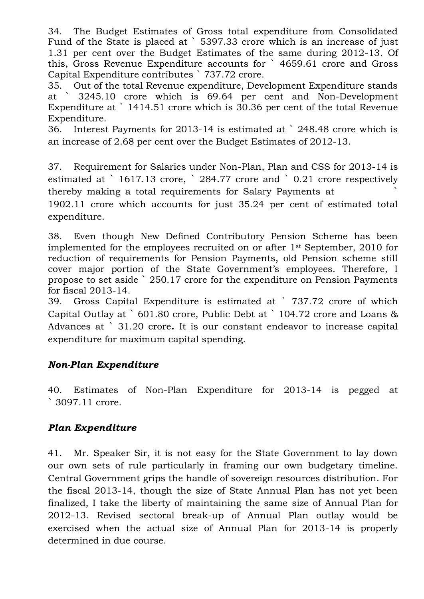34. The Budget Estimates of Gross total expenditure from Consolidated Fund of the State is placed at ` 5397.33 crore which is an increase of just 1.31 per cent over the Budget Estimates of the same during 2012-13. Of this, Gross Revenue Expenditure accounts for ` 4659.61 crore and Gross Capital Expenditure contributes ` 737.72 crore.

35. Out of the total Revenue expenditure, Development Expenditure stands at ` 3245.10 crore which is 69.64 per cent and Non-Development Expenditure at ` 1414.51 crore which is 30.36 per cent of the total Revenue Expenditure.

36. Interest Payments for 2013-14 is estimated at ` 248.48 crore which is an increase of 2.68 per cent over the Budget Estimates of 2012-13.

37. Requirement for Salaries under Non-Plan, Plan and CSS for 2013-14 is estimated at ` 1617.13 crore, ` 284.77 crore and ` 0.21 crore respectively thereby making a total requirements for Salary Payments at `

1902.11 crore which accounts for just 35.24 per cent of estimated total expenditure.

38. Even though New Defined Contributory Pension Scheme has been implemented for the employees recruited on or after  $1<sup>st</sup>$  September, 2010 for reduction of requirements for Pension Payments, old Pension scheme still cover major portion of the State Government's employees. Therefore, I propose to set aside ` 250.17 crore for the expenditure on Pension Payments for fiscal 2013-14.

39. Gross Capital Expenditure is estimated at ` 737.72 crore of which Capital Outlay at ` 601.80 crore, Public Debt at ` 104.72 crore and Loans & Advances at ` 31.20 crore**.** It is our constant endeavor to increase capital expenditure for maximum capital spending.

# *Non-Plan Expenditure*

40. Estimates of Non-Plan Expenditure for 2013-14 is pegged at ` 3097.11 crore.

# *Plan Expenditure*

41. Mr. Speaker Sir, it is not easy for the State Government to lay down our own sets of rule particularly in framing our own budgetary timeline. Central Government grips the handle of sovereign resources distribution. For the fiscal 2013-14, though the size of State Annual Plan has not yet been finalized, I take the liberty of maintaining the same size of Annual Plan for 2012-13. Revised sectoral break-up of Annual Plan outlay would be exercised when the actual size of Annual Plan for 2013-14 is properly determined in due course.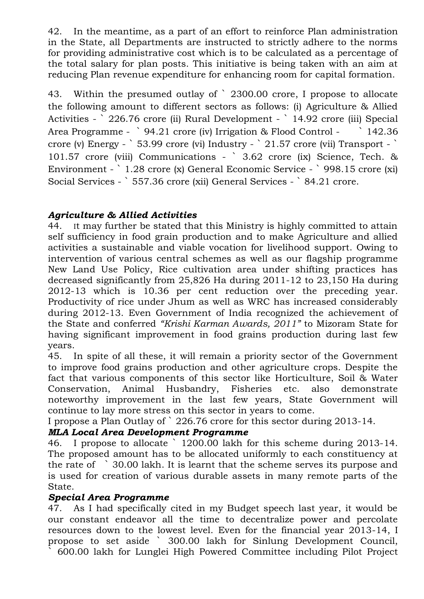42. In the meantime, as a part of an effort to reinforce Plan administration in the State, all Departments are instructed to strictly adhere to the norms for providing administrative cost which is to be calculated as a percentage of the total salary for plan posts. This initiative is being taken with an aim at reducing Plan revenue expenditure for enhancing room for capital formation.

43. Within the presumed outlay of ` 2300.00 crore, I propose to allocate the following amount to different sectors as follows: (i) Agriculture & Allied Activities - ` 226.76 crore (ii) Rural Development - ` 14.92 crore (iii) Special Area Programme - ` 94.21 crore (iv) Irrigation & Flood Control - ` 142.36 crore (v) Energy - ` 53.99 crore (vi) Industry - ` 21.57 crore (vii) Transport - ` 101.57 crore (viii) Communications - ` 3.62 crore (ix) Science, Tech. & Environment - ` 1.28 crore (x) General Economic Service - ` 998.15 crore (xi) Social Services - ` 557.36 crore (xii) General Services - ` 84.21 crore.

#### *Agriculture & Allied Activities*

44. It may further be stated that this Ministry is highly committed to attain self sufficiency in food grain production and to make Agriculture and allied activities a sustainable and viable vocation for livelihood support. Owing to intervention of various central schemes as well as our flagship programme New Land Use Policy, Rice cultivation area under shifting practices has decreased significantly from 25,826 Ha during 2011-12 to 23,150 Ha during 2012-13 which is 10.36 per cent reduction over the preceding year. Productivity of rice under Jhum as well as WRC has increased considerably during 2012-13. Even Government of India recognized the achievement of the State and conferred *"Krishi Karman Awards, 2011"* to Mizoram State for having significant improvement in food grains production during last few years.

45. In spite of all these, it will remain a priority sector of the Government to improve food grains production and other agriculture crops. Despite the fact that various components of this sector like Horticulture, Soil & Water Conservation, Animal Husbandry, Fisheries etc. also demonstrate noteworthy improvement in the last few years, State Government will continue to lay more stress on this sector in years to come.

I propose a Plan Outlay of ` 226.76 crore for this sector during 2013-14.

#### *MLA Local Area Development Programme*

46. I propose to allocate ` 1200.00 lakh for this scheme during 2013-14. The proposed amount has to be allocated uniformly to each constituency at the rate of ` 30.00 lakh. It is learnt that the scheme serves its purpose and is used for creation of various durable assets in many remote parts of the State.

#### *Special Area Programme*

47. As I had specifically cited in my Budget speech last year, it would be our constant endeavor all the time to decentralize power and percolate resources down to the lowest level. Even for the financial year 2013-14, I propose to set aside ` 300.00 lakh for Sinlung Development Council, ` 600.00 lakh for Lunglei High Powered Committee including Pilot Project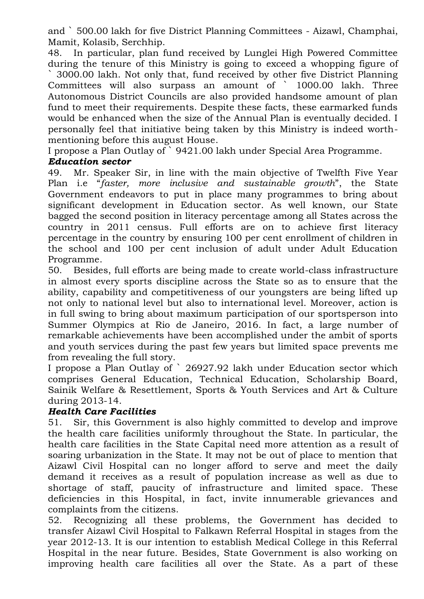and ` 500.00 lakh for five District Planning Committees - Aizawl, Champhai, Mamit, Kolasib, Serchhip.

48. In particular, plan fund received by Lunglei High Powered Committee during the tenure of this Ministry is going to exceed a whopping figure of ` 3000.00 lakh. Not only that, fund received by other five District Planning Committees will also surpass an amount of ` 1000.00 lakh. Three Autonomous District Councils are also provided handsome amount of plan fund to meet their requirements. Despite these facts, these earmarked funds would be enhanced when the size of the Annual Plan is eventually decided. I personally feel that initiative being taken by this Ministry is indeed worthmentioning before this august House.

I propose a Plan Outlay of ` 9421.00 lakh under Special Area Programme.

#### *Education sector*

49. Mr. Speaker Sir, in line with the main objective of Twelfth Five Year Plan i.e "*faster, more inclusive and sustainable growth*", the State Government endeavors to put in place many programmes to bring about significant development in Education sector. As well known, our State bagged the second position in literacy percentage among all States across the country in 2011 census. Full efforts are on to achieve first literacy percentage in the country by ensuring 100 per cent enrollment of children in the school and 100 per cent inclusion of adult under Adult Education Programme.

50. Besides, full efforts are being made to create world-class infrastructure in almost every sports discipline across the State so as to ensure that the ability, capability and competitiveness of our youngsters are being lifted up not only to national level but also to international level. Moreover, action is in full swing to bring about maximum participation of our sportsperson into Summer Olympics at Rio de Janeiro, 2016. In fact, a large number of remarkable achievements have been accomplished under the ambit of sports and youth services during the past few years but limited space prevents me from revealing the full story.

I propose a Plan Outlay of ` 26927.92 lakh under Education sector which comprises General Education, Technical Education, Scholarship Board, Sainik Welfare & Resettlement, Sports & Youth Services and Art & Culture during 2013-14.

#### *Health Care Facilities*

51. Sir, this Government is also highly committed to develop and improve the health care facilities uniformly throughout the State. In particular, the health care facilities in the State Capital need more attention as a result of soaring urbanization in the State. It may not be out of place to mention that Aizawl Civil Hospital can no longer afford to serve and meet the daily demand it receives as a result of population increase as well as due to shortage of staff, paucity of infrastructure and limited space. These deficiencies in this Hospital, in fact, invite innumerable grievances and complaints from the citizens.

52. Recognizing all these problems, the Government has decided to transfer Aizawl Civil Hospital to Falkawn Referral Hospital in stages from the year 2012-13. It is our intention to establish Medical College in this Referral Hospital in the near future. Besides, State Government is also working on improving health care facilities all over the State. As a part of these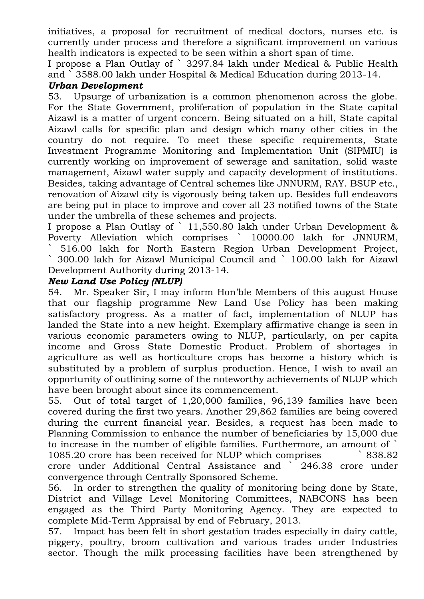initiatives, a proposal for recruitment of medical doctors, nurses etc. is currently under process and therefore a significant improvement on various health indicators is expected to be seen within a short span of time.

I propose a Plan Outlay of ` 3297.84 lakh under Medical & Public Health and ` 3588.00 lakh under Hospital & Medical Education during 2013-14.

#### *Urban Development*

53. Upsurge of urbanization is a common phenomenon across the globe. For the State Government, proliferation of population in the State capital Aizawl is a matter of urgent concern. Being situated on a hill, State capital Aizawl calls for specific plan and design which many other cities in the country do not require. To meet these specific requirements, State Investment Programme Monitoring and Implementation Unit (SIPMIU) is currently working on improvement of sewerage and sanitation, solid waste management, Aizawl water supply and capacity development of institutions. Besides, taking advantage of Central schemes like JNNURM, RAY. BSUP etc., renovation of Aizawl city is vigorously being taken up. Besides full endeavors are being put in place to improve and cover all 23 notified towns of the State under the umbrella of these schemes and projects.

I propose a Plan Outlay of ` 11,550.80 lakh under Urban Development & Poverty Alleviation which comprises ` 10000.00 lakh for JNNURM, ` 516.00 lakh for North Eastern Region Urban Development Project, ` 300.00 lakh for Aizawl Municipal Council and ` 100.00 lakh for Aizawl Development Authority during 2013-14.

#### *New Land Use Policy (NLUP)*

54. Mr. Speaker Sir, I may inform Hon"ble Members of this august House that our flagship programme New Land Use Policy has been making satisfactory progress. As a matter of fact, implementation of NLUP has landed the State into a new height. Exemplary affirmative change is seen in various economic parameters owing to NLUP, particularly, on per capita income and Gross State Domestic Product. Problem of shortages in agriculture as well as horticulture crops has become a history which is substituted by a problem of surplus production. Hence, I wish to avail an opportunity of outlining some of the noteworthy achievements of NLUP which have been brought about since its commencement.

55. Out of total target of 1,20,000 families, 96,139 families have been covered during the first two years. Another 29,862 families are being covered during the current financial year. Besides, a request has been made to Planning Commission to enhance the number of beneficiaries by 15,000 due to increase in the number of eligible families. Furthermore, an amount of ` 1085.20 crore has been received for NLUP which comprises ` 838.82 crore under Additional Central Assistance and ` 246.38 crore under convergence through Centrally Sponsored Scheme.

56. In order to strengthen the quality of monitoring being done by State, District and Village Level Monitoring Committees, NABCONS has been engaged as the Third Party Monitoring Agency. They are expected to complete Mid-Term Appraisal by end of February, 2013.

57. Impact has been felt in short gestation trades especially in dairy cattle, piggery, poultry, broom cultivation and various trades under Industries sector. Though the milk processing facilities have been strengthened by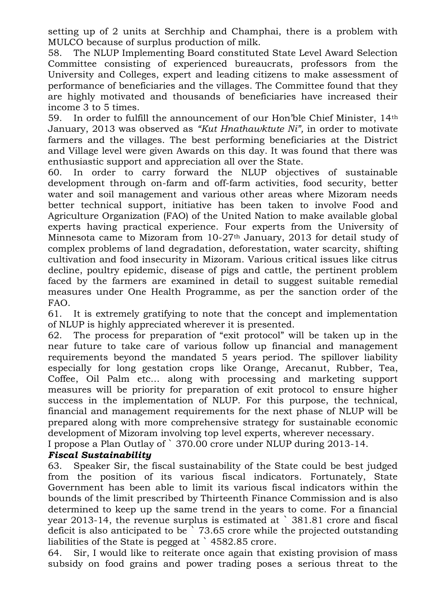setting up of 2 units at Serchhip and Champhai, there is a problem with MULCO because of surplus production of milk.

58. The NLUP Implementing Board constituted State Level Award Selection Committee consisting of experienced bureaucrats, professors from the University and Colleges, expert and leading citizens to make assessment of performance of beneficiaries and the villages. The Committee found that they are highly motivated and thousands of beneficiaries have increased their income 3 to 5 times.

59. In order to fulfill the announcement of our Hon"ble Chief Minister, 14th January, 2013 was observed as *"Kut Hnathawktute Ni",* in order to motivate farmers and the villages. The best performing beneficiaries at the District and Village level were given Awards on this day. It was found that there was enthusiastic support and appreciation all over the State.

60. In order to carry forward the NLUP objectives of sustainable development through on-farm and off-farm activities, food security, better water and soil management and various other areas where Mizoram needs better technical support, initiative has been taken to involve Food and Agriculture Organization (FAO) of the United Nation to make available global experts having practical experience. Four experts from the University of Minnesota came to Mizoram from 10-27th January, 2013 for detail study of complex problems of land degradation, deforestation, water scarcity, shifting cultivation and food insecurity in Mizoram. Various critical issues like citrus decline, poultry epidemic, disease of pigs and cattle, the pertinent problem faced by the farmers are examined in detail to suggest suitable remedial measures under One Health Programme, as per the sanction order of the FAO.

61. It is extremely gratifying to note that the concept and implementation of NLUP is highly appreciated wherever it is presented.

62. The process for preparation of "exit protocol" will be taken up in the near future to take care of various follow up financial and management requirements beyond the mandated 5 years period. The spillover liability especially for long gestation crops like Orange, Arecanut, Rubber, Tea, Coffee, Oil Palm etc… along with processing and marketing support measures will be priority for preparation of exit protocol to ensure higher success in the implementation of NLUP. For this purpose, the technical, financial and management requirements for the next phase of NLUP will be prepared along with more comprehensive strategy for sustainable economic development of Mizoram involving top level experts, wherever necessary.

I propose a Plan Outlay of ` 370.00 crore under NLUP during 2013-14.

#### *Fiscal Sustainability*

63. Speaker Sir, the fiscal sustainability of the State could be best judged from the position of its various fiscal indicators. Fortunately, State Government has been able to limit its various fiscal indicators within the bounds of the limit prescribed by Thirteenth Finance Commission and is also determined to keep up the same trend in the years to come. For a financial year 2013-14, the revenue surplus is estimated at ` 381.81 crore and fiscal deficit is also anticipated to be  $\tilde{ }$  73.65 crore while the projected outstanding liabilities of the State is pegged at ` 4582.85 crore.

64. Sir, I would like to reiterate once again that existing provision of mass subsidy on food grains and power trading poses a serious threat to the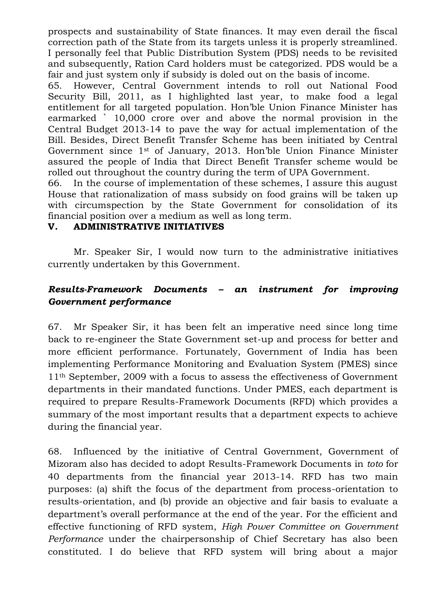prospects and sustainability of State finances. It may even derail the fiscal correction path of the State from its targets unless it is properly streamlined. I personally feel that Public Distribution System (PDS) needs to be revisited and subsequently, Ration Card holders must be categorized. PDS would be a fair and just system only if subsidy is doled out on the basis of income.

65. However, Central Government intends to roll out National Food Security Bill, 2011, as I highlighted last year, to make food a legal entitlement for all targeted population. Hon"ble Union Finance Minister has earmarked ` 10,000 crore over and above the normal provision in the Central Budget 2013-14 to pave the way for actual implementation of the Bill. Besides, Direct Benefit Transfer Scheme has been initiated by Central Government since 1st of January, 2013. Hon"ble Union Finance Minister assured the people of India that Direct Benefit Transfer scheme would be rolled out throughout the country during the term of UPA Government.

66. In the course of implementation of these schemes, I assure this august House that rationalization of mass subsidy on food grains will be taken up with circumspection by the State Government for consolidation of its financial position over a medium as well as long term.

#### **V. ADMINISTRATIVE INITIATIVES**

Mr. Speaker Sir, I would now turn to the administrative initiatives currently undertaken by this Government.

# *Results-Framework Documents – an instrument for improving Government performance*

67. Mr Speaker Sir, it has been felt an imperative need since long time back to re-engineer the State Government set-up and process for better and more efficient performance. Fortunately, Government of India has been implementing Performance Monitoring and Evaluation System (PMES) since 11th September, 2009 with a focus to assess the effectiveness of Government departments in their mandated functions. Under PMES, each department is required to prepare Results-Framework Documents (RFD) which provides a summary of the most important results that a department expects to achieve during the financial year.

68. Influenced by the initiative of Central Government, Government of Mizoram also has decided to adopt Results-Framework Documents in *toto* for 40 departments from the financial year 2013-14. RFD has two main purposes: (a) shift the focus of the department from process-orientation to results-orientation, and (b) provide an objective and fair basis to evaluate a department's overall performance at the end of the year. For the efficient and effective functioning of RFD system, *High Power Committee on Government Performance* under the chairpersonship of Chief Secretary has also been constituted. I do believe that RFD system will bring about a major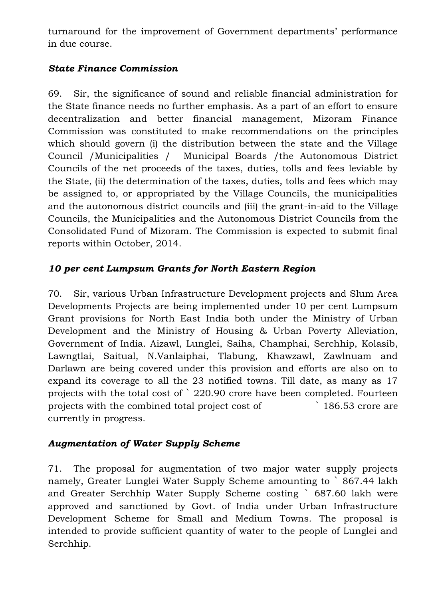turnaround for the improvement of Government departments' performance in due course.

# *State Finance Commission*

69. Sir, the significance of sound and reliable financial administration for the State finance needs no further emphasis. As a part of an effort to ensure decentralization and better financial management, Mizoram Finance Commission was constituted to make recommendations on the principles which should govern (i) the distribution between the state and the Village Council /Municipalities / Municipal Boards /the Autonomous District Councils of the net proceeds of the taxes, duties, tolls and fees leviable by the State, (ii) the determination of the taxes, duties, tolls and fees which may be assigned to, or appropriated by the Village Councils, the municipalities and the autonomous district councils and (iii) the grant-in-aid to the Village Councils, the Municipalities and the Autonomous District Councils from the Consolidated Fund of Mizoram. The Commission is expected to submit final reports within October, 2014.

# *10 per cent Lumpsum Grants for North Eastern Region*

70. Sir, various Urban Infrastructure Development projects and Slum Area Developments Projects are being implemented under 10 per cent Lumpsum Grant provisions for North East India both under the Ministry of Urban Development and the Ministry of Housing & Urban Poverty Alleviation, Government of India. Aizawl, Lunglei, Saiha, Champhai, Serchhip, Kolasib, Lawngtlai, Saitual, N.Vanlaiphai, Tlabung, Khawzawl, Zawlnuam and Darlawn are being covered under this provision and efforts are also on to expand its coverage to all the 23 notified towns. Till date, as many as 17 projects with the total cost of ` 220.90 crore have been completed. Fourteen projects with the combined total project cost of  $\sim$  186.53 crore are currently in progress.

# *Augmentation of Water Supply Scheme*

71. The proposal for augmentation of two major water supply projects namely, Greater Lunglei Water Supply Scheme amounting to ` 867.44 lakh and Greater Serchhip Water Supply Scheme costing ` 687.60 lakh were approved and sanctioned by Govt. of India under Urban Infrastructure Development Scheme for Small and Medium Towns. The proposal is intended to provide sufficient quantity of water to the people of Lunglei and Serchhip.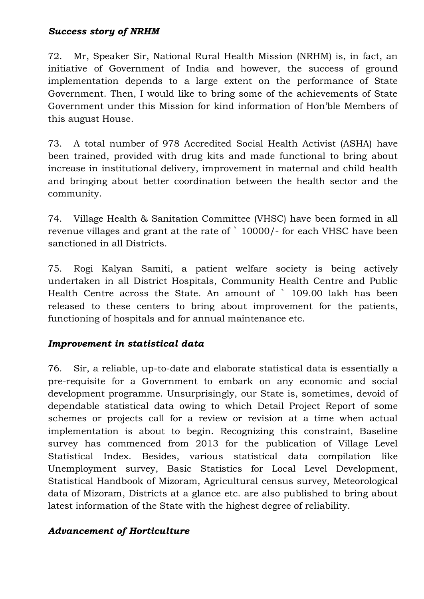#### *Success story of NRHM*

72. Mr, Speaker Sir, National Rural Health Mission (NRHM) is, in fact, an initiative of Government of India and however, the success of ground implementation depends to a large extent on the performance of State Government. Then, I would like to bring some of the achievements of State Government under this Mission for kind information of Hon"ble Members of this august House.

73. A total number of 978 Accredited Social Health Activist (ASHA) have been trained, provided with drug kits and made functional to bring about increase in institutional delivery, improvement in maternal and child health and bringing about better coordination between the health sector and the community.

74. Village Health & Sanitation Committee (VHSC) have been formed in all revenue villages and grant at the rate of ` 10000/- for each VHSC have been sanctioned in all Districts.

75. Rogi Kalyan Samiti, a patient welfare society is being actively undertaken in all District Hospitals, Community Health Centre and Public Health Centre across the State. An amount of ` 109.00 lakh has been released to these centers to bring about improvement for the patients, functioning of hospitals and for annual maintenance etc.

# *Improvement in statistical data*

76. Sir, a reliable, up-to-date and elaborate statistical data is essentially a pre-requisite for a Government to embark on any economic and social development programme. Unsurprisingly, our State is, sometimes, devoid of dependable statistical data owing to which Detail Project Report of some schemes or projects call for a review or revision at a time when actual implementation is about to begin. Recognizing this constraint, Baseline survey has commenced from 2013 for the publication of Village Level Statistical Index. Besides, various statistical data compilation like Unemployment survey, Basic Statistics for Local Level Development, Statistical Handbook of Mizoram, Agricultural census survey, Meteorological data of Mizoram, Districts at a glance etc. are also published to bring about latest information of the State with the highest degree of reliability.

# *Advancement of Horticulture*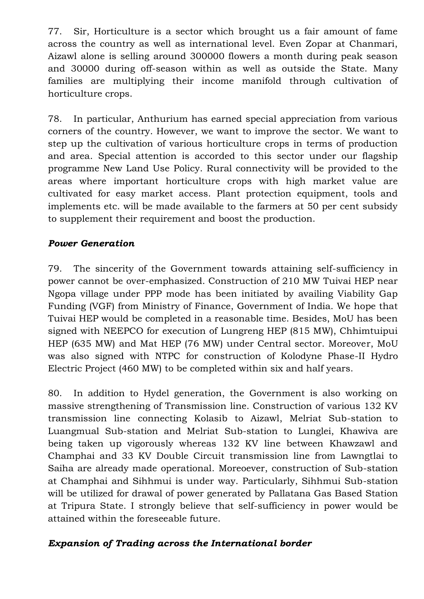77. Sir, Horticulture is a sector which brought us a fair amount of fame across the country as well as international level. Even Zopar at Chanmari, Aizawl alone is selling around 300000 flowers a month during peak season and 30000 during off-season within as well as outside the State. Many families are multiplying their income manifold through cultivation of horticulture crops.

78. In particular, Anthurium has earned special appreciation from various corners of the country. However, we want to improve the sector. We want to step up the cultivation of various horticulture crops in terms of production and area. Special attention is accorded to this sector under our flagship programme New Land Use Policy. Rural connectivity will be provided to the areas where important horticulture crops with high market value are cultivated for easy market access. Plant protection equipment, tools and implements etc. will be made available to the farmers at 50 per cent subsidy to supplement their requirement and boost the production.

# *Power Generation*

79. The sincerity of the Government towards attaining self-sufficiency in power cannot be over-emphasized. Construction of 210 MW Tuivai HEP near Ngopa village under PPP mode has been initiated by availing Viability Gap Funding (VGF) from Ministry of Finance, Government of India. We hope that Tuivai HEP would be completed in a reasonable time. Besides, MoU has been signed with NEEPCO for execution of Lungreng HEP (815 MW), Chhimtuipui HEP (635 MW) and Mat HEP (76 MW) under Central sector. Moreover, MoU was also signed with NTPC for construction of Kolodyne Phase-II Hydro Electric Project (460 MW) to be completed within six and half years.

80. In addition to Hydel generation, the Government is also working on massive strengthening of Transmission line. Construction of various 132 KV transmission line connecting Kolasib to Aizawl, Melriat Sub-station to Luangmual Sub-station and Melriat Sub-station to Lunglei, Khawiva are being taken up vigorously whereas 132 KV line between Khawzawl and Champhai and 33 KV Double Circuit transmission line from Lawngtlai to Saiha are already made operational. Moreoever, construction of Sub-station at Champhai and Sihhmui is under way. Particularly, Sihhmui Sub-station will be utilized for drawal of power generated by Pallatana Gas Based Station at Tripura State. I strongly believe that self-sufficiency in power would be attained within the foreseeable future.

#### *Expansion of Trading across the International border*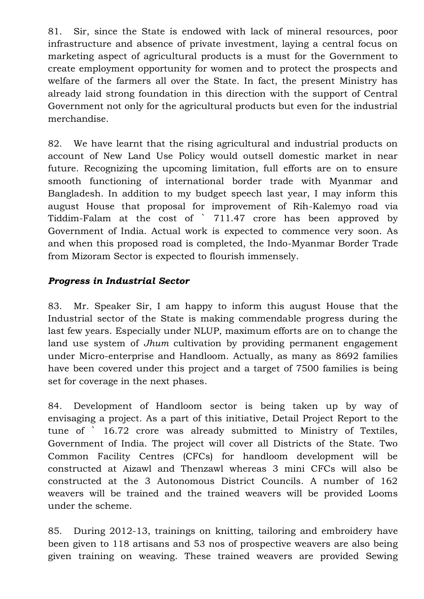81. Sir, since the State is endowed with lack of mineral resources, poor infrastructure and absence of private investment, laying a central focus on marketing aspect of agricultural products is a must for the Government to create employment opportunity for women and to protect the prospects and welfare of the farmers all over the State. In fact, the present Ministry has already laid strong foundation in this direction with the support of Central Government not only for the agricultural products but even for the industrial merchandise.

82. We have learnt that the rising agricultural and industrial products on account of New Land Use Policy would outsell domestic market in near future. Recognizing the upcoming limitation, full efforts are on to ensure smooth functioning of international border trade with Myanmar and Bangladesh. In addition to my budget speech last year, I may inform this august House that proposal for improvement of Rih-Kalemyo road via Tiddim-Falam at the cost of ` 711.47 crore has been approved by Government of India. Actual work is expected to commence very soon. As and when this proposed road is completed, the Indo-Myanmar Border Trade from Mizoram Sector is expected to flourish immensely.

# *Progress in Industrial Sector*

83. Mr. Speaker Sir, I am happy to inform this august House that the Industrial sector of the State is making commendable progress during the last few years. Especially under NLUP, maximum efforts are on to change the land use system of *Jhum* cultivation by providing permanent engagement under Micro-enterprise and Handloom. Actually, as many as 8692 families have been covered under this project and a target of 7500 families is being set for coverage in the next phases.

84. Development of Handloom sector is being taken up by way of envisaging a project. As a part of this initiative, Detail Project Report to the tune of ` 16.72 crore was already submitted to Ministry of Textiles, Government of India. The project will cover all Districts of the State. Two Common Facility Centres (CFCs) for handloom development will be constructed at Aizawl and Thenzawl whereas 3 mini CFCs will also be constructed at the 3 Autonomous District Councils. A number of 162 weavers will be trained and the trained weavers will be provided Looms under the scheme.

85. During 2012-13, trainings on knitting, tailoring and embroidery have been given to 118 artisans and 53 nos of prospective weavers are also being given training on weaving. These trained weavers are provided Sewing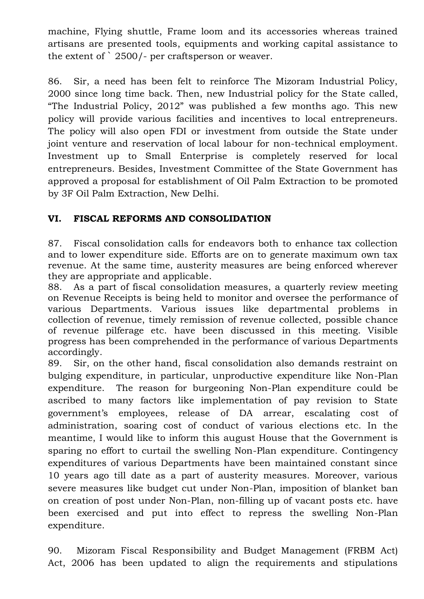machine, Flying shuttle, Frame loom and its accessories whereas trained artisans are presented tools, equipments and working capital assistance to the extent of ` 2500/- per craftsperson or weaver.

86. Sir, a need has been felt to reinforce The Mizoram Industrial Policy, 2000 since long time back. Then, new Industrial policy for the State called, "The Industrial Policy, 2012" was published a few months ago. This new policy will provide various facilities and incentives to local entrepreneurs. The policy will also open FDI or investment from outside the State under joint venture and reservation of local labour for non-technical employment. Investment up to Small Enterprise is completely reserved for local entrepreneurs. Besides, Investment Committee of the State Government has approved a proposal for establishment of Oil Palm Extraction to be promoted by 3F Oil Palm Extraction, New Delhi.

# **VI. FISCAL REFORMS AND CONSOLIDATION**

87. Fiscal consolidation calls for endeavors both to enhance tax collection and to lower expenditure side. Efforts are on to generate maximum own tax revenue. At the same time, austerity measures are being enforced wherever they are appropriate and applicable.

88. As a part of fiscal consolidation measures, a quarterly review meeting on Revenue Receipts is being held to monitor and oversee the performance of various Departments. Various issues like departmental problems in collection of revenue, timely remission of revenue collected, possible chance of revenue pilferage etc. have been discussed in this meeting. Visible progress has been comprehended in the performance of various Departments accordingly.

89. Sir, on the other hand, fiscal consolidation also demands restraint on bulging expenditure, in particular, unproductive expenditure like Non-Plan expenditure. The reason for burgeoning Non-Plan expenditure could be ascribed to many factors like implementation of pay revision to State government"s employees, release of DA arrear, escalating cost of administration, soaring cost of conduct of various elections etc. In the meantime, I would like to inform this august House that the Government is sparing no effort to curtail the swelling Non-Plan expenditure. Contingency expenditures of various Departments have been maintained constant since 10 years ago till date as a part of austerity measures. Moreover, various severe measures like budget cut under Non-Plan, imposition of blanket ban on creation of post under Non-Plan, non-filling up of vacant posts etc. have been exercised and put into effect to repress the swelling Non-Plan expenditure.

90. Mizoram Fiscal Responsibility and Budget Management (FRBM Act) Act, 2006 has been updated to align the requirements and stipulations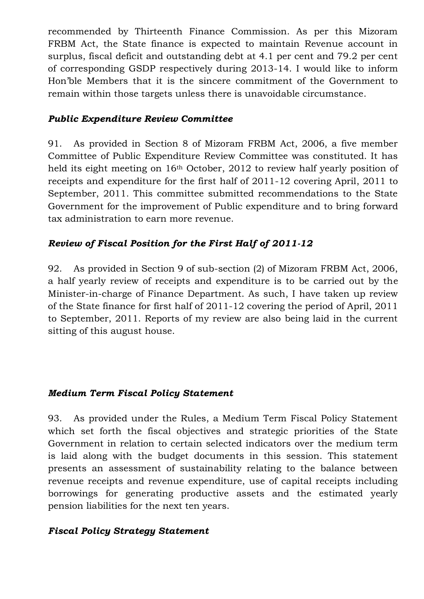recommended by Thirteenth Finance Commission. As per this Mizoram FRBM Act, the State finance is expected to maintain Revenue account in surplus, fiscal deficit and outstanding debt at 4.1 per cent and 79.2 per cent of corresponding GSDP respectively during 2013-14. I would like to inform Hon"ble Members that it is the sincere commitment of the Government to remain within those targets unless there is unavoidable circumstance.

#### *Public Expenditure Review Committee*

91. As provided in Section 8 of Mizoram FRBM Act, 2006, a five member Committee of Public Expenditure Review Committee was constituted. It has held its eight meeting on 16<sup>th</sup> October, 2012 to review half yearly position of receipts and expenditure for the first half of 2011-12 covering April, 2011 to September, 2011. This committee submitted recommendations to the State Government for the improvement of Public expenditure and to bring forward tax administration to earn more revenue.

# *Review of Fiscal Position for the First Half of 2011-12*

92. As provided in Section 9 of sub-section (2) of Mizoram FRBM Act, 2006, a half yearly review of receipts and expenditure is to be carried out by the Minister-in-charge of Finance Department. As such, I have taken up review of the State finance for first half of 2011-12 covering the period of April, 2011 to September, 2011. Reports of my review are also being laid in the current sitting of this august house.

#### *Medium Term Fiscal Policy Statement*

93. As provided under the Rules, a Medium Term Fiscal Policy Statement which set forth the fiscal objectives and strategic priorities of the State Government in relation to certain selected indicators over the medium term is laid along with the budget documents in this session. This statement presents an assessment of sustainability relating to the balance between revenue receipts and revenue expenditure, use of capital receipts including borrowings for generating productive assets and the estimated yearly pension liabilities for the next ten years.

#### *Fiscal Policy Strategy Statement*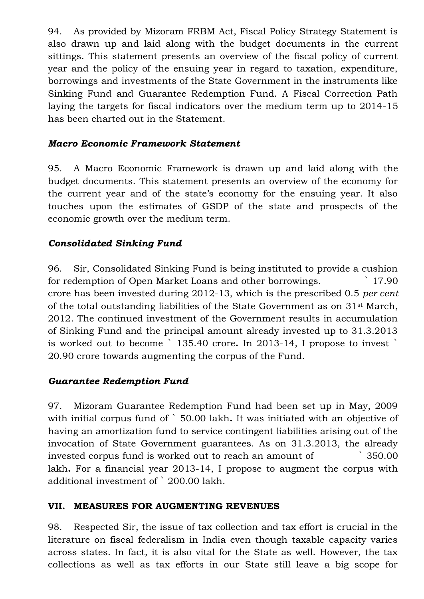94. As provided by Mizoram FRBM Act, Fiscal Policy Strategy Statement is also drawn up and laid along with the budget documents in the current sittings. This statement presents an overview of the fiscal policy of current year and the policy of the ensuing year in regard to taxation, expenditure, borrowings and investments of the State Government in the instruments like Sinking Fund and Guarantee Redemption Fund. A Fiscal Correction Path laying the targets for fiscal indicators over the medium term up to 2014-15 has been charted out in the Statement.

#### *Macro Economic Framework Statement*

95. A Macro Economic Framework is drawn up and laid along with the budget documents. This statement presents an overview of the economy for the current year and of the state's economy for the ensuing year. It also touches upon the estimates of GSDP of the state and prospects of the economic growth over the medium term.

# *Consolidated Sinking Fund*

96. Sir, Consolidated Sinking Fund is being instituted to provide a cushion for redemption of Open Market Loans and other borrowings. ` 17.90 crore has been invested during 2012-13, which is the prescribed 0.5 *per cent* of the total outstanding liabilities of the State Government as on 31st March, 2012. The continued investment of the Government results in accumulation of Sinking Fund and the principal amount already invested up to 31.3.2013 is worked out to become ` 135.40 crore**.** In 2013-14, I propose to invest ` 20.90 crore towards augmenting the corpus of the Fund.

# *Guarantee Redemption Fund*

97. Mizoram Guarantee Redemption Fund had been set up in May, 2009 with initial corpus fund of ` 50.00 lakh**.** It was initiated with an objective of having an amortization fund to service contingent liabilities arising out of the invocation of State Government guarantees. As on 31.3.2013, the already invested corpus fund is worked out to reach an amount of ` 350.00 lakh**.** For a financial year 2013-14, I propose to augment the corpus with additional investment of ` 200.00 lakh.

#### **VII. MEASURES FOR AUGMENTING REVENUES**

98. Respected Sir, the issue of tax collection and tax effort is crucial in the literature on fiscal federalism in India even though taxable capacity varies across states. In fact, it is also vital for the State as well. However, the tax collections as well as tax efforts in our State still leave a big scope for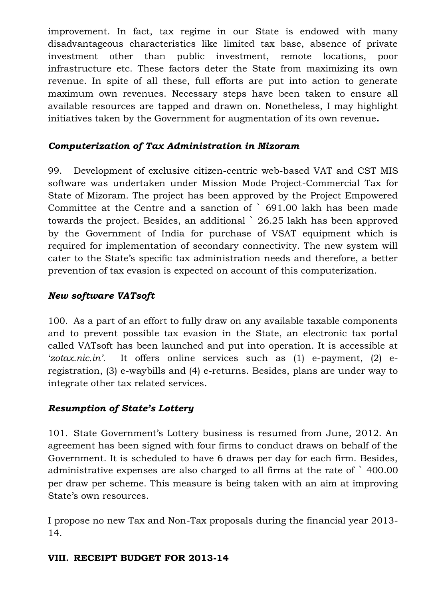improvement. In fact, tax regime in our State is endowed with many disadvantageous characteristics like limited tax base, absence of private investment other than public investment, remote locations, poor infrastructure etc. These factors deter the State from maximizing its own revenue. In spite of all these, full efforts are put into action to generate maximum own revenues. Necessary steps have been taken to ensure all available resources are tapped and drawn on. Nonetheless, I may highlight initiatives taken by the Government for augmentation of its own revenue**.**

# *Computerization of Tax Administration in Mizoram*

99. Development of exclusive citizen-centric web-based VAT and CST MIS software was undertaken under Mission Mode Project-Commercial Tax for State of Mizoram. The project has been approved by the Project Empowered Committee at the Centre and a sanction of ` 691.00 lakh has been made towards the project. Besides, an additional ` 26.25 lakh has been approved by the Government of India for purchase of VSAT equipment which is required for implementation of secondary connectivity. The new system will cater to the State"s specific tax administration needs and therefore, a better prevention of tax evasion is expected on account of this computerization.

# *New software VATsoft*

100. As a part of an effort to fully draw on any available taxable components and to prevent possible tax evasion in the State, an electronic tax portal called VATsoft has been launched and put into operation. It is accessible at "*zotax.nic.in'.* It offers online services such as (1) e-payment, (2) eregistration, (3) e-waybills and (4) e-returns. Besides, plans are under way to integrate other tax related services.

# *Resumption of State's Lottery*

101. State Government's Lottery business is resumed from June, 2012. An agreement has been signed with four firms to conduct draws on behalf of the Government. It is scheduled to have 6 draws per day for each firm. Besides, administrative expenses are also charged to all firms at the rate of ` 400.00 per draw per scheme. This measure is being taken with an aim at improving State's own resources.

I propose no new Tax and Non-Tax proposals during the financial year 2013- 14.

# **VIII. RECEIPT BUDGET FOR 2013-14**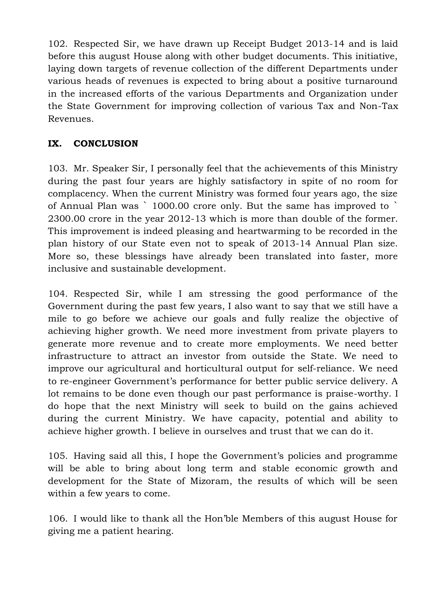102. Respected Sir, we have drawn up Receipt Budget 2013-14 and is laid before this august House along with other budget documents. This initiative, laying down targets of revenue collection of the different Departments under various heads of revenues is expected to bring about a positive turnaround in the increased efforts of the various Departments and Organization under the State Government for improving collection of various Tax and Non-Tax Revenues.

# **IX. CONCLUSION**

103. Mr. Speaker Sir, I personally feel that the achievements of this Ministry during the past four years are highly satisfactory in spite of no room for complacency. When the current Ministry was formed four years ago, the size of Annual Plan was ` 1000.00 crore only. But the same has improved to ` 2300.00 crore in the year 2012-13 which is more than double of the former. This improvement is indeed pleasing and heartwarming to be recorded in the plan history of our State even not to speak of 2013-14 Annual Plan size. More so, these blessings have already been translated into faster, more inclusive and sustainable development.

104. Respected Sir, while I am stressing the good performance of the Government during the past few years, I also want to say that we still have a mile to go before we achieve our goals and fully realize the objective of achieving higher growth. We need more investment from private players to generate more revenue and to create more employments. We need better infrastructure to attract an investor from outside the State. We need to improve our agricultural and horticultural output for self-reliance. We need to re-engineer Government's performance for better public service delivery. A lot remains to be done even though our past performance is praise-worthy. I do hope that the next Ministry will seek to build on the gains achieved during the current Ministry. We have capacity, potential and ability to achieve higher growth. I believe in ourselves and trust that we can do it.

105. Having said all this, I hope the Government's policies and programme will be able to bring about long term and stable economic growth and development for the State of Mizoram, the results of which will be seen within a few years to come.

106. I would like to thank all the Hon"ble Members of this august House for giving me a patient hearing.